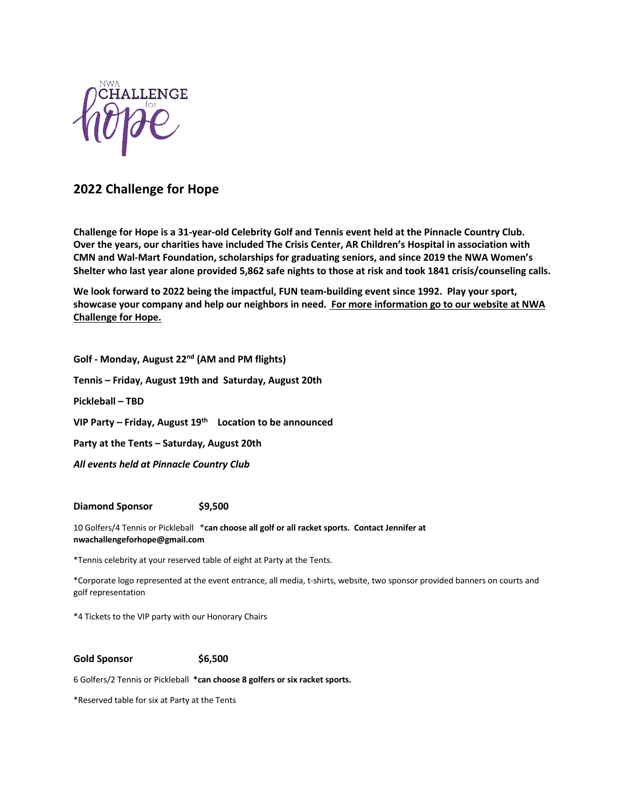

# **2022 Challenge for Hope**

**Challenge for Hope is a 31-year-old Celebrity Golf and Tennis event held at the Pinnacle Country Club. Over the years, our charities have included The Crisis Center, AR Children's Hospital in association with CMN and Wal-Mart Foundation, scholarships for graduating seniors, and since 2019 the NWA Women's Shelter who last year alone provided 5,862 safe nights to those at risk and took 1841 crisis/counseling calls.**

**We look forward to 2022 being the impactful, FUN team-building event since 1992. Play your sport, showcase your company and help our neighbors in need. For more information go to our website at NWA Challenge for Hope.**

**Golf - Monday, August 22nd (AM and PM flights) Tennis – Friday, August 19th and Saturday, August 20th Pickleball – TBD VIP Party – Friday, August 19th Location to be announced Party at the Tents – Saturday, August 20th** *All events held at Pinnacle Country Club*

#### **Diamond Sponsor \$9,500**

10 Golfers/4 Tennis or Pickleball \***can choose all golf or all racket sports. Contact Jennifer at nwachallengeforhope@gmail.com**

\*Tennis celebrity at your reserved table of eight at Party at the Tents.

\*Corporate logo represented at the event entrance, all media, t-shirts, website, two sponsor provided banners on courts and golf representation

\*4 Tickets to the VIP party with our Honorary Chairs

**Gold Sponsor \$6,500** 

6 Golfers/2 Tennis or Pickleball **\*can choose 8 golfers or six racket sports.**

\*Reserved table for six at Party at the Tents